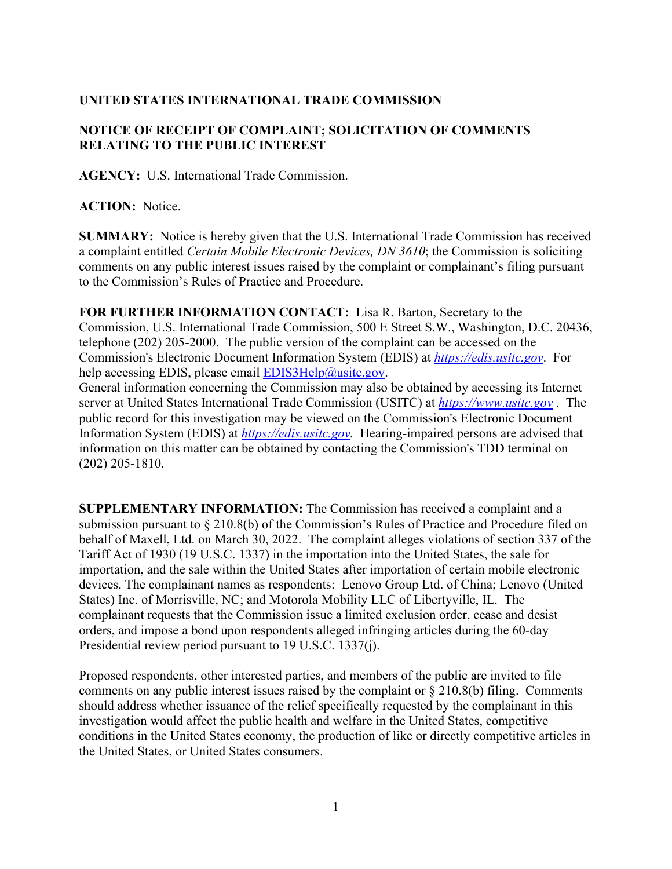## **UNITED STATES INTERNATIONAL TRADE COMMISSION**

## **NOTICE OF RECEIPT OF COMPLAINT; SOLICITATION OF COMMENTS RELATING TO THE PUBLIC INTEREST**

**AGENCY:** U.S. International Trade Commission.

**ACTION:** Notice.

**SUMMARY:** Notice is hereby given that the U.S. International Trade Commission has received a complaint entitled *Certain Mobile Electronic Devices, DN 3610*; the Commission is soliciting comments on any public interest issues raised by the complaint or complainant's filing pursuant to the Commission's Rules of Practice and Procedure.

**FOR FURTHER INFORMATION CONTACT:** Lisa R. Barton, Secretary to the Commission, U.S. International Trade Commission, 500 E Street S.W., Washington, D.C. 20436, telephone (202) 205-2000. The public version of the complaint can be accessed on the Commission's Electronic Document Information System (EDIS) at *[https://edis.usitc.gov](https://edis.usitc.gov/)*. For help accessing EDIS, please email  $EDIS3Help@usite.gov$ .

General information concerning the Commission may also be obtained by accessing its Internet server at United States International Trade Commission (USITC) at *[https://www.usitc.gov](https://www.usitc.gov/)* . The public record for this investigation may be viewed on the Commission's Electronic Document Information System (EDIS) at *[https://edis.usitc.gov.](https://edis.usitc.gov/)* Hearing-impaired persons are advised that information on this matter can be obtained by contacting the Commission's TDD terminal on (202) 205-1810.

**SUPPLEMENTARY INFORMATION:** The Commission has received a complaint and a submission pursuant to § 210.8(b) of the Commission's Rules of Practice and Procedure filed on behalf of Maxell, Ltd. on March 30, 2022. The complaint alleges violations of section 337 of the Tariff Act of 1930 (19 U.S.C. 1337) in the importation into the United States, the sale for importation, and the sale within the United States after importation of certain mobile electronic devices. The complainant names as respondents: Lenovo Group Ltd. of China; Lenovo (United States) Inc. of Morrisville, NC; and Motorola Mobility LLC of Libertyville, IL. The complainant requests that the Commission issue a limited exclusion order, cease and desist orders, and impose a bond upon respondents alleged infringing articles during the 60-day Presidential review period pursuant to 19 U.S.C. 1337(j).

Proposed respondents, other interested parties, and members of the public are invited to file comments on any public interest issues raised by the complaint or § 210.8(b) filing. Comments should address whether issuance of the relief specifically requested by the complainant in this investigation would affect the public health and welfare in the United States, competitive conditions in the United States economy, the production of like or directly competitive articles in the United States, or United States consumers.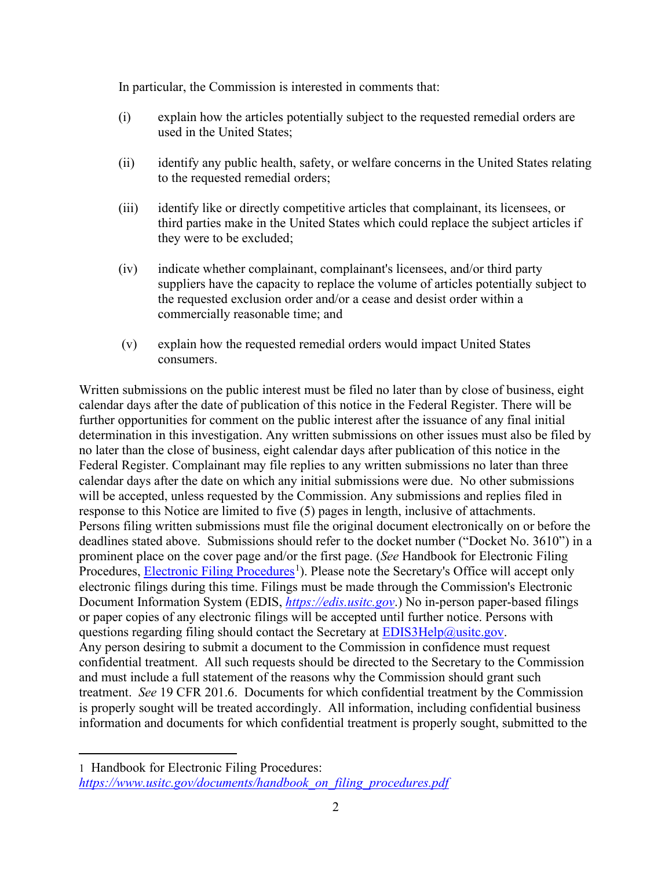In particular, the Commission is interested in comments that:

- (i) explain how the articles potentially subject to the requested remedial orders are used in the United States;
- (ii) identify any public health, safety, or welfare concerns in the United States relating to the requested remedial orders;
- (iii) identify like or directly competitive articles that complainant, its licensees, or third parties make in the United States which could replace the subject articles if they were to be excluded;
- (iv) indicate whether complainant, complainant's licensees, and/or third party suppliers have the capacity to replace the volume of articles potentially subject to the requested exclusion order and/or a cease and desist order within a commercially reasonable time; and
- (v) explain how the requested remedial orders would impact United States consumers.

Written submissions on the public interest must be filed no later than by close of business, eight calendar days after the date of publication of this notice in the Federal Register. There will be further opportunities for comment on the public interest after the issuance of any final initial determination in this investigation. Any written submissions on other issues must also be filed by no later than the close of business, eight calendar days after publication of this notice in the Federal Register. Complainant may file replies to any written submissions no later than three calendar days after the date on which any initial submissions were due. No other submissions will be accepted, unless requested by the Commission. Any submissions and replies filed in response to this Notice are limited to five (5) pages in length, inclusive of attachments. Persons filing written submissions must file the original document electronically on or before the deadlines stated above. Submissions should refer to the docket number ("Docket No. 3610") in a prominent place on the cover page and/or the first page. (*See* Handbook for Electronic Filing Procedures, **Electronic Filing Procedures**<sup>[1](#page-1-0)</sup>). Please note the Secretary's Office will accept only electronic filings during this time. Filings must be made through the Commission's Electronic Document Information System (EDIS, *[https://edis.usitc.gov](https://edis.usitc.gov/)*.) No in-person paper-based filings or paper copies of any electronic filings will be accepted until further notice. Persons with questions regarding filing should contact the Secretary at [EDIS3Help@usitc.gov.](mailto:EDIS3Help@usitc.gov) Any person desiring to submit a document to the Commission in confidence must request confidential treatment. All such requests should be directed to the Secretary to the Commission and must include a full statement of the reasons why the Commission should grant such treatment. *See* 19 CFR 201.6. Documents for which confidential treatment by the Commission is properly sought will be treated accordingly. All information, including confidential business information and documents for which confidential treatment is properly sought, submitted to the

<span id="page-1-0"></span><sup>1</sup> Handbook for Electronic Filing Procedures: *[https://www.usitc.gov/documents/handbook\\_on\\_filing\\_procedures.pdf](https://www.usitc.gov/documents/handbook_on_filing_procedures.pdf)*